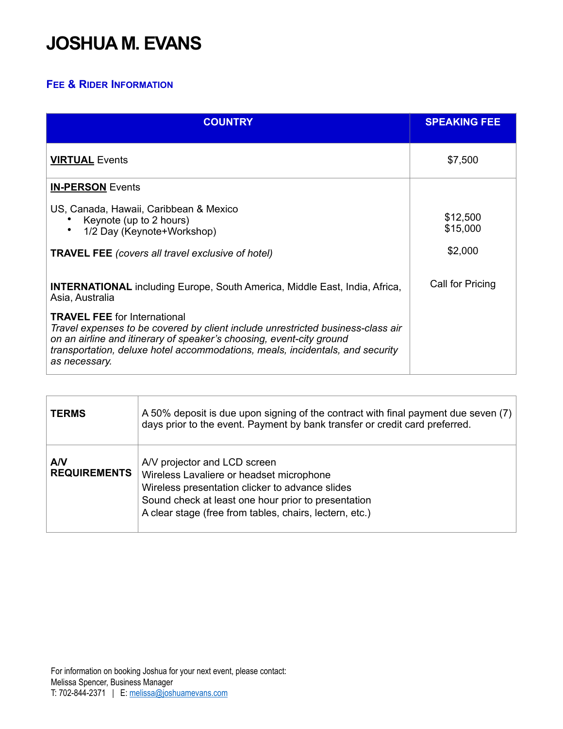## **JOSHUA M. EVANS**

## **FEE & RIDER INFORMATION**

| <b>COUNTRY</b>                                                                                                                                                                                                                                                                                   | <b>SPEAKING FEE</b>             |
|--------------------------------------------------------------------------------------------------------------------------------------------------------------------------------------------------------------------------------------------------------------------------------------------------|---------------------------------|
| <b>VIRTUAL Events</b>                                                                                                                                                                                                                                                                            | \$7,500                         |
| <b>IN-PERSON</b> Events                                                                                                                                                                                                                                                                          |                                 |
| US, Canada, Hawaii, Caribbean & Mexico<br>Keynote (up to 2 hours)<br>1/2 Day (Keynote+Workshop)<br><b>TRAVEL FEE</b> (covers all travel exclusive of hotel)                                                                                                                                      | \$12,500<br>\$15,000<br>\$2,000 |
| <b>INTERNATIONAL</b> including Europe, South America, Middle East, India, Africa,<br>Asia, Australia                                                                                                                                                                                             | Call for Pricing                |
| <b>TRAVEL FEE</b> for International<br>Travel expenses to be covered by client include unrestricted business-class air<br>on an airline and itinerary of speaker's choosing, event-city ground<br>transportation, deluxe hotel accommodations, meals, incidentals, and security<br>as necessary. |                                 |

| <b>TERMS</b>              | A 50% deposit is due upon signing of the contract with final payment due seven (7)<br>days prior to the event. Payment by bank transfer or credit card preferred.                                                                             |
|---------------------------|-----------------------------------------------------------------------------------------------------------------------------------------------------------------------------------------------------------------------------------------------|
| AV<br><b>REQUIREMENTS</b> | A/V projector and LCD screen<br>Wireless Lavaliere or headset microphone<br>Wireless presentation clicker to advance slides<br>Sound check at least one hour prior to presentation<br>A clear stage (free from tables, chairs, lectern, etc.) |